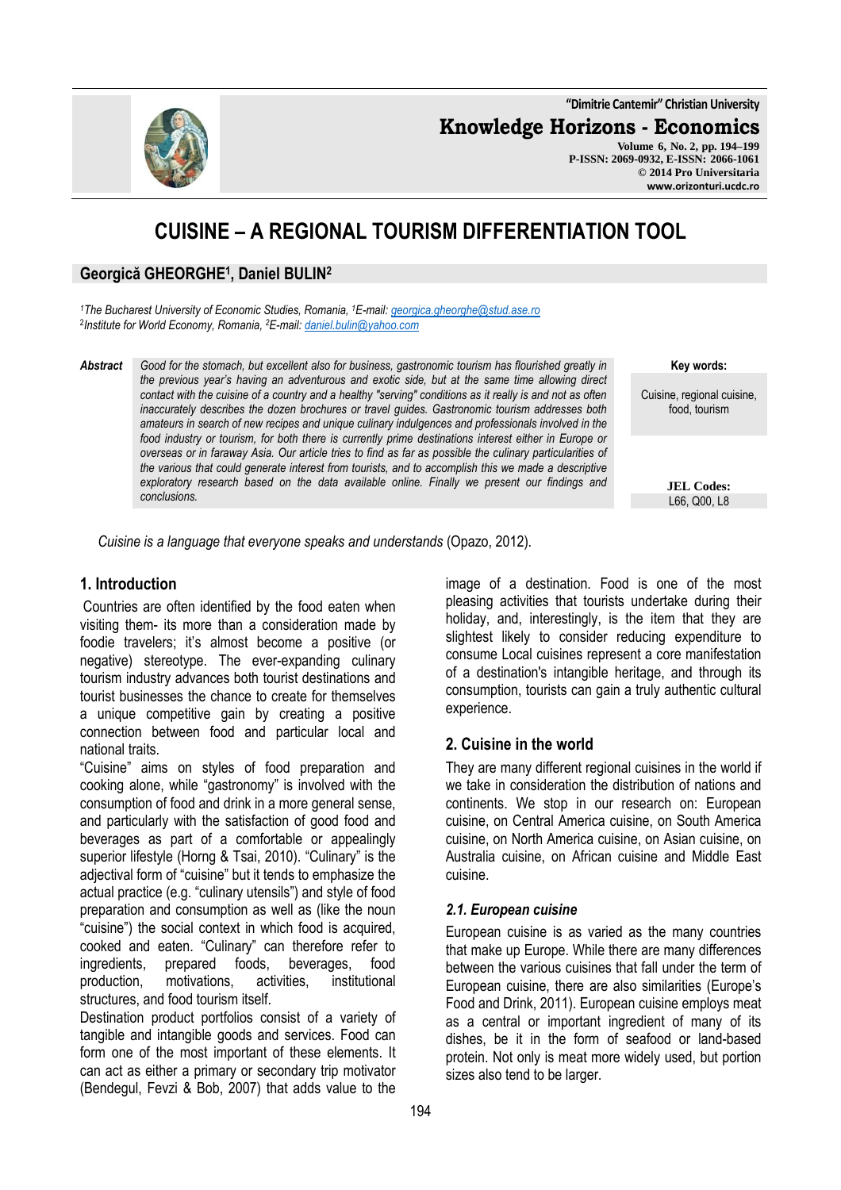**"Dimitrie Cantemir" Christian University**

**Knowledge Horizons - Economics**

**Volume 6, No. 2, pp. 194–199 P-ISSN: 2069-0932, E-ISSN: 2066-1061 © 2014 Pro Universitaria www.orizonturi.ucdc.ro**

# **CUISINE – A REGIONAL TOURISM DIFFERENTIATION TOOL**

## **Georgică GHEORGHE<sup>1</sup> , Daniel BULIN<sup>2</sup>**

*<sup>1</sup>The Bucharest University of Economic Studies, Romania, <sup>1</sup>E-mail: georgica.gheorghe@stud.ase.ro* 2 *Institute for World Economy, Romania, <sup>2</sup>E-mail: daniel.bulin@yahoo.com*

*Abstract Good for the stomach, but excellent also for business, gastronomic tourism has flourished greatly in the previous year's having an adventurous and exotic side, but at the same time allowing direct contact with the cuisine of a country and a healthy "serving" conditions as it really is and not as often inaccurately describes the dozen brochures or travel guides. Gastronomic tourism addresses both amateurs in search of new recipes and unique culinary indulgences and professionals involved in the food industry or tourism, for both there is currently prime destinations interest either in Europe or overseas or in faraway Asia. Our article tries to find as far as possible the culinary particularities of the various that could generate interest from tourists, and to accomplish this we made a descriptive exploratory research based on the data available online. Finally we present our findings and conclusions.* 

**Key words:**

Cuisine, regional cuisine, food, tourism

> **JEL Codes:** L66, Q00, L8

 *Cuisine is a language that everyone speaks and understands* (Opazo, 2012).

#### **1. Introduction**

Countries are often identified by the food eaten when visiting them- its more than a consideration made by foodie travelers; it's almost become a positive (or negative) stereotype. The ever-expanding culinary tourism industry advances both tourist destinations and tourist businesses the chance to create for themselves a unique competitive gain by creating a positive connection between food and particular local and national traits.

"Cuisine" aims on styles of food preparation and cooking alone, while "gastronomy" is involved with the consumption of food and drink in a more general sense, and particularly with the satisfaction of good food and beverages as part of a comfortable or appealingly superior lifestyle (Horng & Tsai, 2010). "Culinary" is the adjectival form of "cuisine" but it tends to emphasize the actual practice (e.g. "culinary utensils") and style of food preparation and consumption as well as (like the noun "cuisine") the social context in which food is acquired, cooked and eaten. "Culinary" can therefore refer to ingredients, prepared foods, beverages, food production, motivations, activities, institutional structures, and food tourism itself.

Destination product portfolios consist of a variety of tangible and intangible goods and services. Food can form one of the most important of these elements. It can act as either a primary or secondary trip motivator (Bendegul, Fevzi & Bob, 2007) that adds value to the

image of a destination. Food is one of the most pleasing activities that tourists undertake during their holiday, and, interestingly, is the item that they are slightest likely to consider reducing expenditure to consume Local cuisines represent a core manifestation of a destination's intangible heritage, and through its consumption, tourists can gain a truly authentic cultural experience.

## **2. Cuisine in the world**

They are many different regional cuisines in the world if we take in consideration the distribution of nations and continents. We stop in our research on: European cuisine, on Central America cuisine, on South America cuisine, on North America cuisine, on Asian cuisine, on Australia cuisine, on African cuisine and Middle East cuisine.

#### *2.1. European cuisine*

European cuisine is as varied as the many countries that make up Europe. While there are many differences between the various cuisines that fall under the term of European cuisine, there are also similarities (Europe's Food and Drink, 2011). European cuisine employs meat as a central or important ingredient of many of its dishes, be it in the form of seafood or land-based protein. Not only is meat more widely used, but portion sizes also tend to be larger.

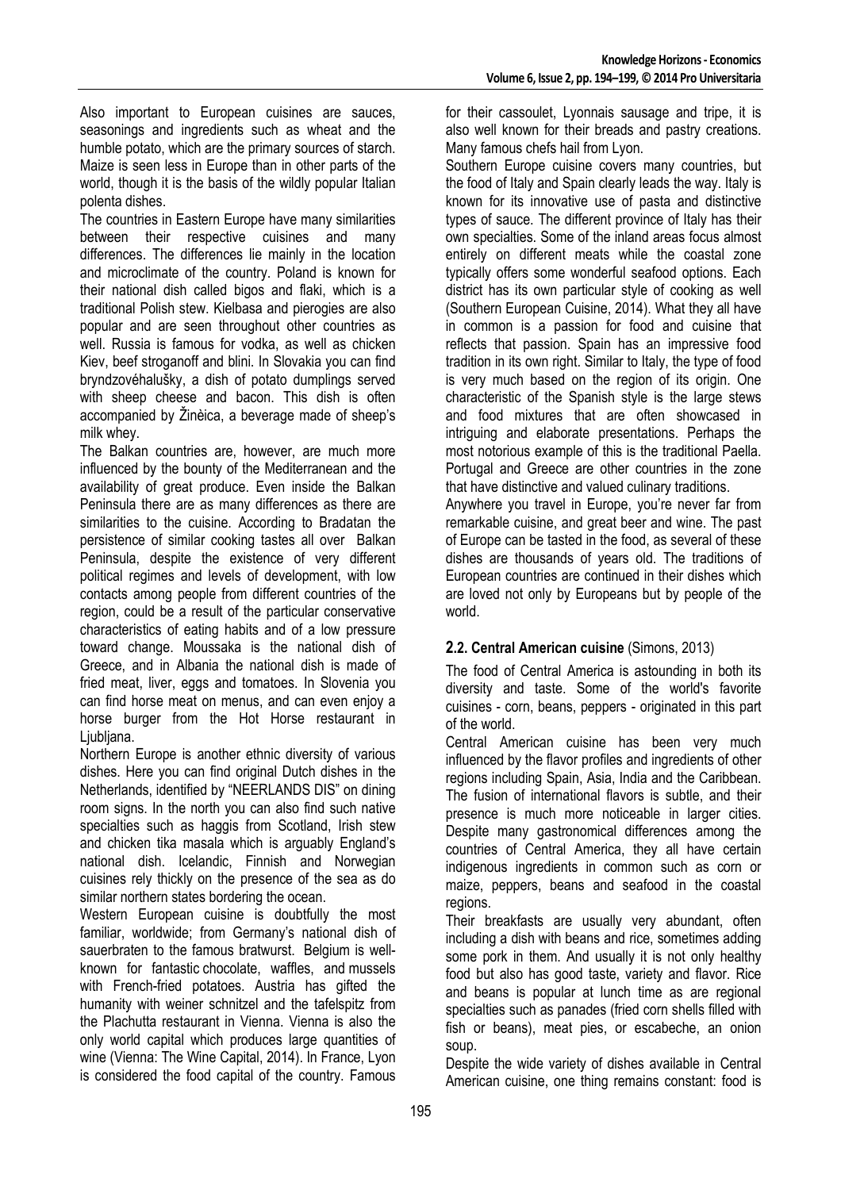Also important to European cuisines are sauces, seasonings and ingredients such as wheat and the humble potato, which are the primary sources of starch. Maize is seen less in Europe than in other parts of the world, though it is the basis of the wildly popular Italian polenta dishes.

The countries in Eastern Europe have many similarities between their respective cuisines and many differences. The differences lie mainly in the location and microclimate of the country. Poland is known for their national dish called bigos and flaki, which is a traditional Polish stew. Kielbasa and pierogies are also popular and are seen throughout other countries as well. Russia is famous for vodka, as well as chicken Kiev, beef stroganoff and blini. In Slovakia you can find bryndzovéhalušky, a dish of potato dumplings served with sheep cheese and bacon. This dish is often accompanied by Žinèica, a beverage made of sheep's milk whey.

The Balkan countries are, however, are much more influenced by the bounty of the Mediterranean and the availability of great produce. Even inside the Balkan Peninsula there are as many differences as there are similarities to the cuisine. According to Bradatan the persistence of similar cooking tastes all over Balkan Peninsula, despite the existence of very different political regimes and levels of development, with low contacts among people from different countries of the region, could be a result of the particular conservative characteristics of eating habits and of a low pressure toward change. Moussaka is the national dish of Greece, and in Albania the national dish is made of fried meat, liver, eggs and tomatoes. In Slovenia you can find horse meat on menus, and can even enjoy a horse burger from the Hot Horse restaurant in Liubliana.

Northern Europe is another ethnic diversity of various dishes. Here you can find original Dutch dishes in the Netherlands, identified by "NEERLANDS DIS" on dining room signs. In the north you can also find such native specialties such as haggis from Scotland, Irish stew and chicken tika masala which is arguably England's national dish. Icelandic, Finnish and Norwegian cuisines rely thickly on the presence of the sea as do similar northern states bordering the ocean.

Western European cuisine is doubtfully the most familiar, worldwide; from Germany's national dish of sauerbraten to the famous bratwurst. Belgium is wellknown for fantastic chocolate, waffles, and mussels with French-fried potatoes. Austria has gifted the humanity with weiner schnitzel and the tafelspitz from the Plachutta restaurant in Vienna. Vienna is also the only world capital which produces large quantities of wine (Vienna: The Wine Capital, 2014). In France, Lyon is considered the food capital of the country. Famous

for their cassoulet, Lyonnais sausage and tripe, it is also well known for their breads and pastry creations. Many famous chefs hail from Lyon.

Southern Europe cuisine covers many countries, but the food of Italy and Spain clearly leads the way. Italy is known for its innovative use of pasta and distinctive types of sauce. The different province of Italy has their own specialties. Some of the inland areas focus almost entirely on different meats while the coastal zone typically offers some wonderful seafood options. Each district has its own particular style of cooking as well (Southern European Cuisine, 2014). What they all have in common is a passion for food and cuisine that reflects that passion. Spain has an impressive food tradition in its own right. Similar to Italy, the type of food is very much based on the region of its origin. One characteristic of the Spanish style is the large stews and food mixtures that are often showcased in intriguing and elaborate presentations. Perhaps the most notorious example of this is the traditional Paella. Portugal and Greece are other countries in the zone that have distinctive and valued culinary traditions.

Anywhere you travel in Europe, you're never far from remarkable cuisine, and great beer and wine. The past of Europe can be tasted in the food, as several of these dishes are thousands of years old. The traditions of European countries are continued in their dishes which are loved not only by Europeans but by people of the world.

## **2.2. Central American cuisine** (Simons, 2013)

The food of Central America is astounding in both its diversity and taste. Some of the world's favorite cuisines - corn, beans, peppers - originated in this part of the world.

Central American cuisine has been very much influenced by the flavor profiles and ingredients of other regions including Spain, Asia, India and the Caribbean. The fusion of international flavors is subtle, and their presence is much more noticeable in larger cities. Despite many gastronomical differences among the countries of Central America, they all have certain indigenous ingredients in common such as corn or maize, peppers, beans and seafood in the coastal regions.

Their breakfasts are usually very abundant, often including a dish with beans and rice, sometimes adding some pork in them. And usually it is not only healthy food but also has good taste, variety and flavor. Rice and beans is popular at lunch time as are regional specialties such as panades (fried corn shells filled with fish or beans), meat pies, or escabeche, an onion soup.

Despite the wide variety of dishes available in Central American cuisine, one thing remains constant: food is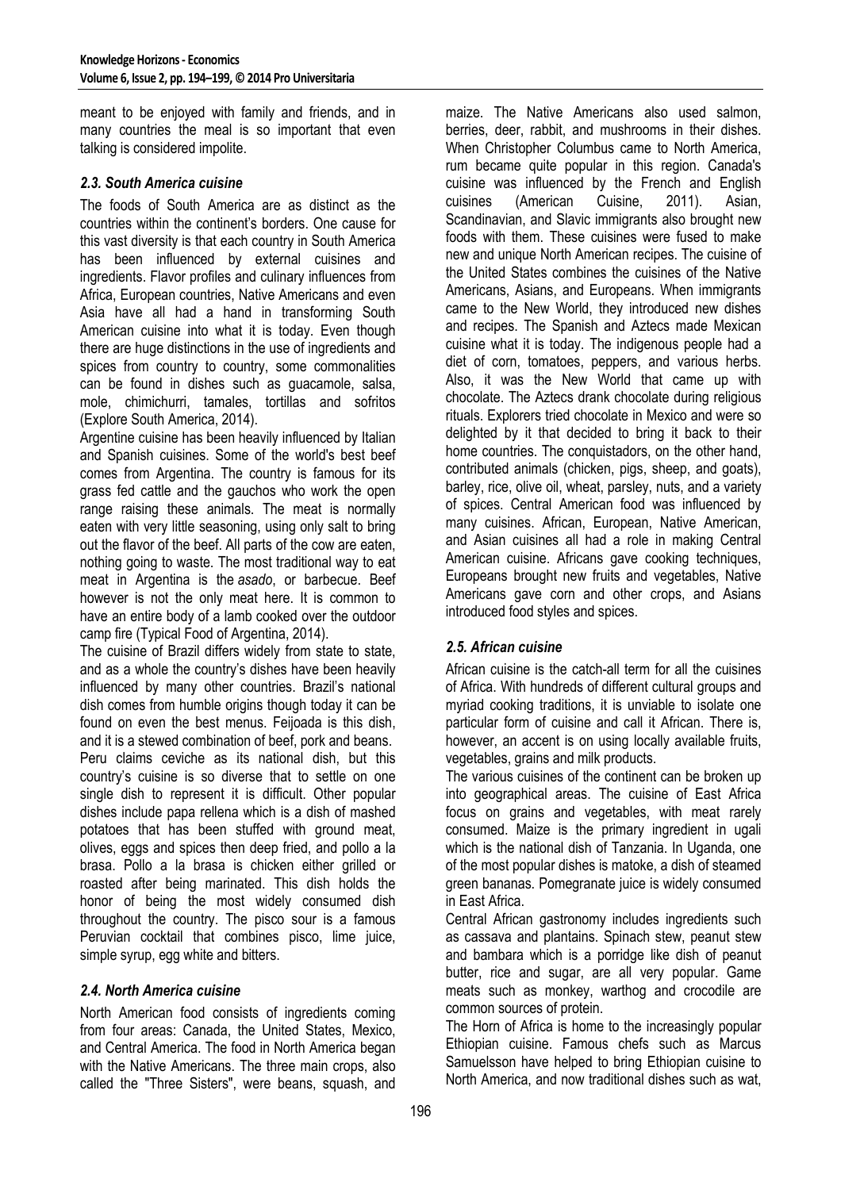meant to be enjoyed with family and friends, and in many countries the meal is so important that even talking is considered impolite.

#### *2.3. South America cuisine*

The foods of South America are as distinct as the countries within the continent's borders. One cause for this vast diversity is that each country in South America has been influenced by external cuisines and ingredients. Flavor profiles and culinary influences from Africa, European countries, Native Americans and even Asia have all had a hand in transforming South American cuisine into what it is today. Even though there are huge distinctions in the use of ingredients and spices from country to country, some commonalities can be found in dishes such as guacamole, salsa, mole, chimichurri, tamales, tortillas and sofritos (Explore South America, 2014).

Argentine cuisine has been heavily influenced by Italian and Spanish cuisines. Some of the world's best beef comes from Argentina. The country is famous for its grass fed cattle and the gauchos who work the open range raising these animals. The meat is normally eaten with very little seasoning, using only salt to bring out the flavor of the beef. All parts of the cow are eaten, nothing going to waste. The most traditional way to eat meat in Argentina is the *asado*, or barbecue. Beef however is not the only meat here. It is common to have an entire body of a lamb cooked over the outdoor camp fire (Typical Food of Argentina, 2014).

The cuisine of Brazil differs widely from state to state, and as a whole the country's dishes have been heavily influenced by many other countries. Brazil's national dish comes from humble origins though today it can be found on even the best menus. Feijoada is this dish, and it is a stewed combination of beef, pork and beans. Peru claims ceviche as its national dish, but this country's cuisine is so diverse that to settle on one single dish to represent it is difficult. Other popular dishes include papa rellena which is a dish of mashed potatoes that has been stuffed with ground meat, olives, eggs and spices then deep fried, and pollo a la brasa. Pollo a la brasa is chicken either grilled or roasted after being marinated. This dish holds the honor of being the most widely consumed dish throughout the country. The pisco sour is a famous Peruvian cocktail that combines pisco, lime juice, simple syrup, egg white and bitters.

#### *2.4. North America cuisine*

North American food consists of ingredients coming from four areas: Canada, the United States, Mexico, and Central America. The food in North America began with the Native Americans. The three main crops, also called the "Three Sisters", were beans, squash, and maize. The Native Americans also used salmon, berries, deer, rabbit, and mushrooms in their dishes. When Christopher Columbus came to North America, rum became quite popular in this region. Canada's cuisine was influenced by the French and English cuisines (American Cuisine, 2011). Asian, Scandinavian, and Slavic immigrants also brought new foods with them. These cuisines were fused to make new and unique North American recipes. The cuisine of the United States combines the cuisines of the Native Americans, Asians, and Europeans. When immigrants came to the New World, they introduced new dishes and recipes. The Spanish and Aztecs made Mexican cuisine what it is today. The indigenous people had a diet of corn, tomatoes, peppers, and various herbs. Also, it was the New World that came up with chocolate. The Aztecs drank chocolate during religious rituals. Explorers tried chocolate in Mexico and were so delighted by it that decided to bring it back to their home countries. The conquistadors, on the other hand, contributed animals (chicken, pigs, sheep, and goats), barley, rice, olive oil, wheat, parsley, nuts, and a variety of spices. Central American food was influenced by many cuisines. African, European, Native American, and Asian cuisines all had a role in making Central American cuisine. Africans gave cooking techniques, Europeans brought new fruits and vegetables, Native Americans gave corn and other crops, and Asians introduced food styles and spices.

#### *2.5. African cuisine*

African cuisine is the catch-all term for all the cuisines of Africa. With hundreds of different cultural groups and myriad cooking traditions, it is unviable to isolate one particular form of cuisine and call it African. There is, however, an accent is on using locally available fruits, vegetables, grains and milk products.

The various cuisines of the continent can be broken up into geographical areas. The cuisine of East Africa focus on grains and vegetables, with meat rarely consumed. Maize is the primary ingredient in ugali which is the national dish of Tanzania. In Uganda, one of the most popular dishes is matoke, a dish of steamed green bananas. Pomegranate juice is widely consumed in East Africa.

Central African gastronomy includes ingredients such as cassava and plantains. Spinach stew, peanut stew and bambara which is a porridge like dish of peanut butter, rice and sugar, are all very popular. Game meats such as monkey, warthog and crocodile are common sources of protein.

The Horn of Africa is home to the increasingly popular Ethiopian cuisine. Famous chefs such as Marcus Samuelsson have helped to bring Ethiopian cuisine to North America, and now traditional dishes such as wat,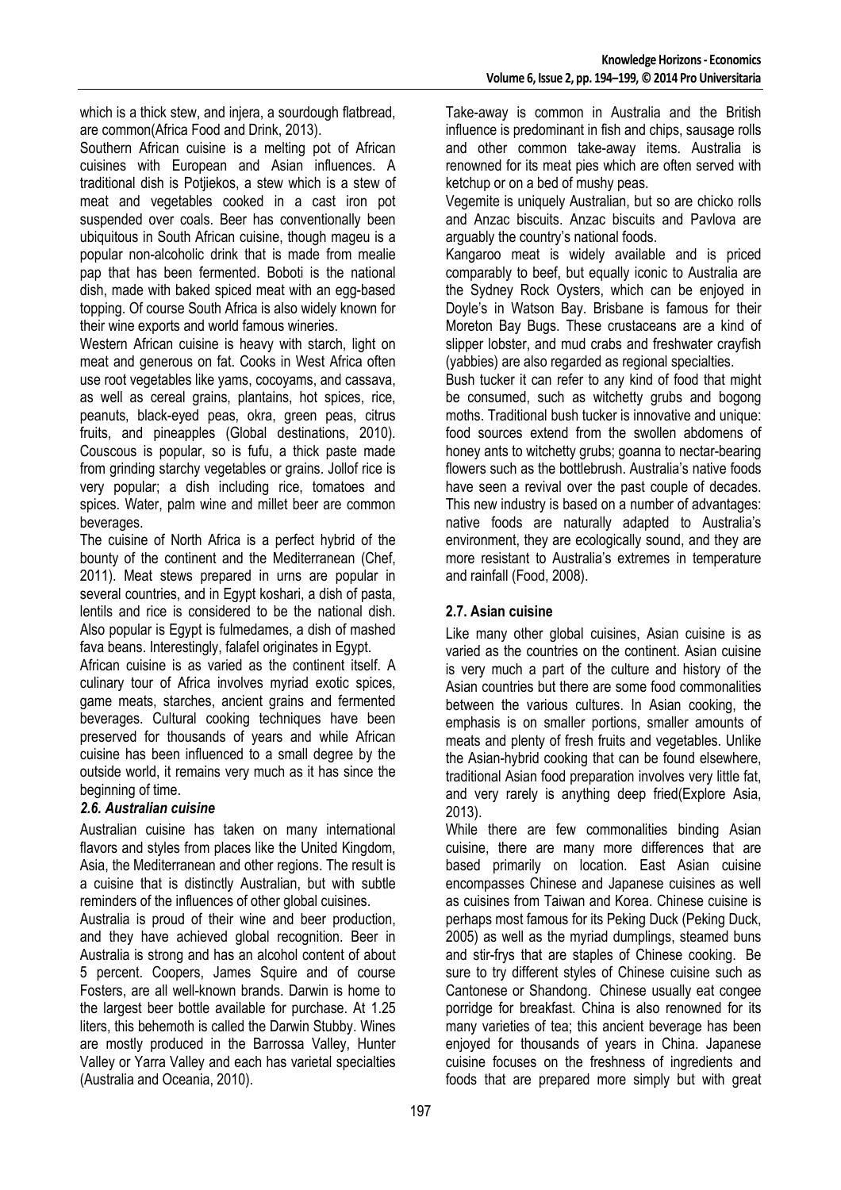which is a thick stew, and injera, a sourdough flatbread, are common(Africa Food and Drink, 2013).

Southern African cuisine is a melting pot of African cuisines with European and Asian influences. A traditional dish is Potjiekos, a stew which is a stew of meat and vegetables cooked in a cast iron pot suspended over coals. Beer has conventionally been ubiquitous in South African cuisine, though mageu is a popular non-alcoholic drink that is made from mealie pap that has been fermented. Boboti is the national dish, made with baked spiced meat with an egg-based topping. Of course South Africa is also widely known for their wine exports and world famous wineries.

Western African cuisine is heavy with starch, light on meat and generous on fat. Cooks in West Africa often use root vegetables like yams, cocoyams, and cassava, as well as cereal grains, plantains, hot spices, rice, peanuts, black-eyed peas, okra, green peas, citrus fruits, and pineapples (Global destinations, 2010). Couscous is popular, so is fufu, a thick paste made from grinding starchy vegetables or grains. Jollof rice is very popular; a dish including rice, tomatoes and spices. Water, palm wine and millet beer are common beverages.

The cuisine of North Africa is a perfect hybrid of the bounty of the continent and the Mediterranean (Chef, 2011). Meat stews prepared in urns are popular in several countries, and in Egypt koshari, a dish of pasta, lentils and rice is considered to be the national dish. Also popular is Egypt is fulmedames, a dish of mashed fava beans. Interestingly, falafel originates in Egypt.

African cuisine is as varied as the continent itself. A culinary tour of Africa involves myriad exotic spices, game meats, starches, ancient grains and fermented beverages. Cultural cooking techniques have been preserved for thousands of years and while African cuisine has been influenced to a small degree by the outside world, it remains very much as it has since the beginning of time.

#### *2.6. Australian cuisine*

Australian cuisine has taken on many international flavors and styles from places like the United Kingdom, Asia, the Mediterranean and other regions. The result is a cuisine that is distinctly Australian, but with subtle reminders of the influences of other global cuisines.

Australia is proud of their wine and beer production, and they have achieved global recognition. Beer in Australia is strong and has an alcohol content of about 5 percent. Coopers, James Squire and of course Fosters, are all well-known brands. Darwin is home to the largest beer bottle available for purchase. At 1.25 liters, this behemoth is called the Darwin Stubby. Wines are mostly produced in the Barrossa Valley, Hunter Valley or Yarra Valley and each has varietal specialties (Australia and Oceania, 2010).

Take-away is common in Australia and the British influence is predominant in fish and chips, sausage rolls and other common take-away items. Australia is renowned for its meat pies which are often served with ketchup or on a bed of mushy peas.

Vegemite is uniquely Australian, but so are chicko rolls and Anzac biscuits. Anzac biscuits and Pavlova are arguably the country's national foods.

Kangaroo meat is widely available and is priced comparably to beef, but equally iconic to Australia are the Sydney Rock Oysters, which can be enjoyed in Doyle's in Watson Bay. Brisbane is famous for their Moreton Bay Bugs. These crustaceans are a kind of slipper lobster, and mud crabs and freshwater crayfish (yabbies) are also regarded as regional specialties.

Bush tucker it can refer to any kind of food that might be consumed, such as witchetty grubs and bogong moths. Traditional bush tucker is innovative and unique: food sources extend from the swollen abdomens of honey ants to witchetty grubs; goanna to nectar-bearing flowers such as the bottlebrush. Australia's native foods have seen a revival over the past couple of decades. This new industry is based on a number of advantages: native foods are naturally adapted to Australia's environment, they are ecologically sound, and they are more resistant to Australia's extremes in temperature and rainfall (Food, 2008).

## **2.7. Asian cuisine**

Like many other global cuisines, Asian cuisine is as varied as the countries on the continent. Asian cuisine is very much a part of the culture and history of the Asian countries but there are some food commonalities between the various cultures. In Asian cooking, the emphasis is on smaller portions, smaller amounts of meats and plenty of fresh fruits and vegetables. Unlike the Asian-hybrid cooking that can be found elsewhere, traditional Asian food preparation involves very little fat, and very rarely is anything deep fried(Explore Asia, 2013).

While there are few commonalities binding Asian cuisine, there are many more differences that are based primarily on location. East Asian cuisine encompasses Chinese and Japanese cuisines as well as cuisines from Taiwan and Korea. Chinese cuisine is perhaps most famous for its Peking Duck (Peking Duck, 2005) as well as the myriad dumplings, steamed buns and stir-frys that are staples of Chinese cooking. Be sure to try different styles of Chinese cuisine such as Cantonese or Shandong. Chinese usually eat congee porridge for breakfast. China is also renowned for its many varieties of tea; this ancient beverage has been enjoyed for thousands of years in China. Japanese cuisine focuses on the freshness of ingredients and foods that are prepared more simply but with great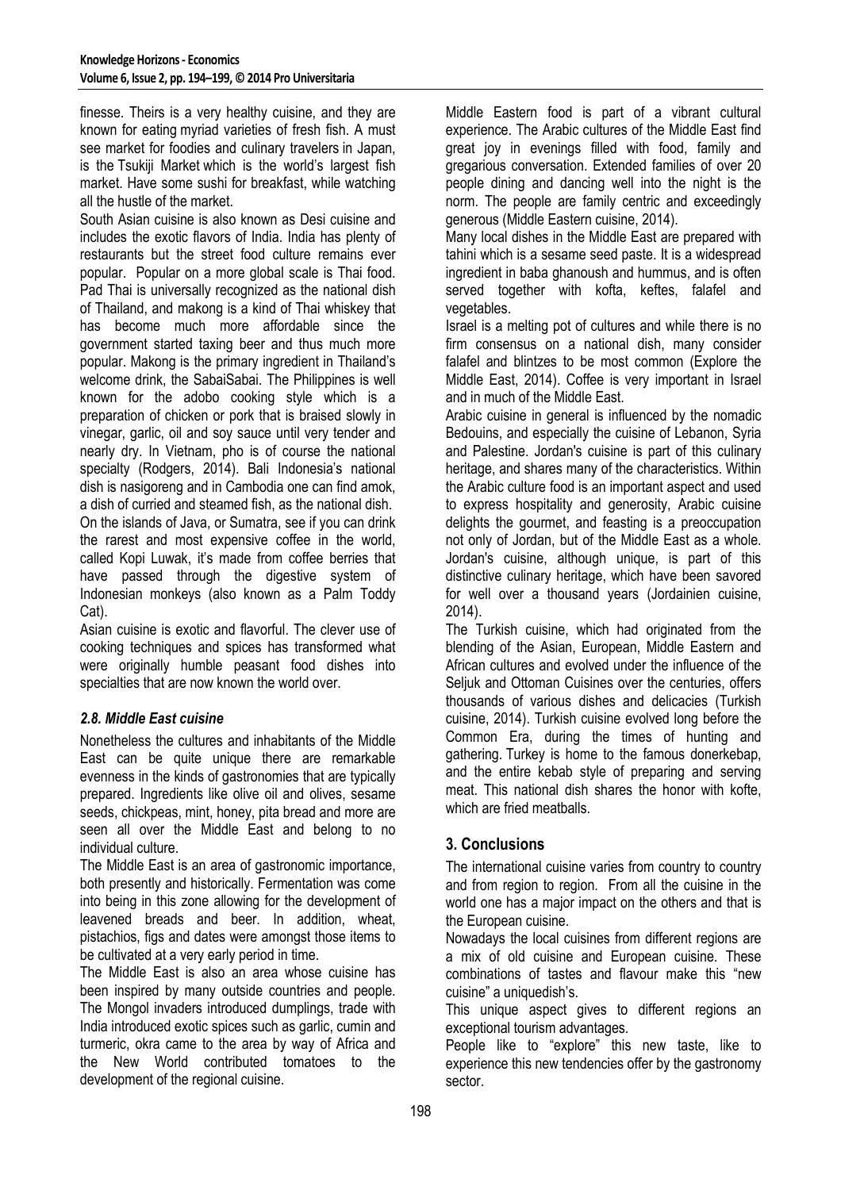finesse. Theirs is a very healthy cuisine, and they are known for eating myriad varieties of fresh fish. A must see market for foodies and culinary travelers in Japan, is the Tsukiji Market which is the world's largest fish market. Have some sushi for breakfast, while watching all the hustle of the market.

South Asian cuisine is also known as Desi cuisine and includes the exotic flavors of India. India has plenty of restaurants but the street food culture remains ever popular. Popular on a more global scale is Thai food. Pad Thai is universally recognized as the national dish of Thailand, and makong is a kind of Thai whiskey that has become much more affordable since the government started taxing beer and thus much more popular. Makong is the primary ingredient in Thailand's welcome drink, the SabaiSabai. The Philippines is well known for the adobo cooking style which is a preparation of chicken or pork that is braised slowly in vinegar, garlic, oil and soy sauce until very tender and nearly dry. In Vietnam, pho is of course the national specialty (Rodgers, 2014). Bali Indonesia's national dish is nasigoreng and in Cambodia one can find amok, a dish of curried and steamed fish, as the national dish.

On the islands of Java, or Sumatra, see if you can drink the rarest and most expensive coffee in the world, called Kopi Luwak, it's made from coffee berries that have passed through the digestive system of Indonesian monkeys (also known as a Palm Toddy Cat).

Asian cuisine is exotic and flavorful. The clever use of cooking techniques and spices has transformed what were originally humble peasant food dishes into specialties that are now known the world over.

## *2.8. Middle East cuisine*

Nonetheless the cultures and inhabitants of the Middle East can be quite unique there are remarkable evenness in the kinds of gastronomies that are typically prepared. Ingredients like olive oil and olives, sesame seeds, chickpeas, mint, honey, pita bread and more are seen all over the Middle East and belong to no individual culture.

The Middle East is an area of gastronomic importance, both presently and historically. Fermentation was come into being in this zone allowing for the development of leavened breads and beer. In addition, wheat, pistachios, figs and dates were amongst those items to be cultivated at a very early period in time.

The Middle East is also an area whose cuisine has been inspired by many outside countries and people. The Mongol invaders introduced dumplings, trade with India introduced exotic spices such as garlic, cumin and turmeric, okra came to the area by way of Africa and the New World contributed tomatoes to the development of the regional cuisine.

Middle Eastern food is part of a vibrant cultural experience. The Arabic cultures of the Middle East find great joy in evenings filled with food, family and gregarious conversation. Extended families of over 20 people dining and dancing well into the night is the norm. The people are family centric and exceedingly generous (Middle Eastern cuisine, 2014).

Many local dishes in the Middle East are prepared with tahini which is a sesame seed paste. It is a widespread ingredient in baba ghanoush and hummus, and is often served together with kofta, keftes, falafel and vegetables.

Israel is a melting pot of cultures and while there is no firm consensus on a national dish, many consider falafel and blintzes to be most common (Explore the Middle East, 2014). Coffee is very important in Israel and in much of the Middle East.

Arabic cuisine in general is influenced by the nomadic Bedouins, and especially the cuisine of Lebanon, Syria and Palestine. Jordan's cuisine is part of this culinary heritage, and shares many of the characteristics. Within the Arabic culture food is an important aspect and used to express hospitality and generosity, Arabic cuisine delights the gourmet, and feasting is a preoccupation not only of Jordan, but of the Middle East as a whole. Jordan's cuisine, although unique, is part of this distinctive culinary heritage, which have been savored for well over a thousand years (Jordainien cuisine, 2014).

The Turkish cuisine, which had originated from the blending of the Asian, European, Middle Eastern and African cultures and evolved under the influence of the Seliuk and Ottoman Cuisines over the centuries, offers thousands of various dishes and delicacies (Turkish cuisine, 2014). Turkish cuisine evolved long before the Common Era, during the times of hunting and gathering. Turkey is home to the famous donerkebap, and the entire kebab style of preparing and serving meat. This national dish shares the honor with kofte, which are fried meatballs.

## **3. Conclusions**

The international cuisine varies from country to country and from region to region. From all the cuisine in the world one has a major impact on the others and that is the European cuisine.

Nowadays the local cuisines from different regions are a mix of old cuisine and European cuisine. These combinations of tastes and flavour make this "new cuisine" a uniquedish's.

This unique aspect gives to different regions an exceptional tourism advantages.

People like to "explore" this new taste, like to experience this new tendencies offer by the gastronomy sector.